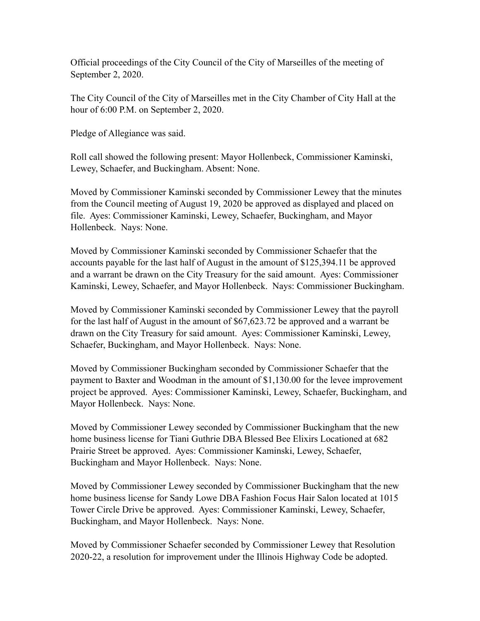Official proceedings of the City Council of the City of Marseilles of the meeting of September 2, 2020.

The City Council of the City of Marseilles met in the City Chamber of City Hall at the hour of 6:00 P.M. on September 2, 2020.

Pledge of Allegiance was said.

Roll call showed the following present: Mayor Hollenbeck, Commissioner Kaminski, Lewey, Schaefer, and Buckingham. Absent: None.

Moved by Commissioner Kaminski seconded by Commissioner Lewey that the minutes from the Council meeting of August 19, 2020 be approved as displayed and placed on file. Ayes: Commissioner Kaminski, Lewey, Schaefer, Buckingham, and Mayor Hollenbeck. Nays: None.

Moved by Commissioner Kaminski seconded by Commissioner Schaefer that the accounts payable for the last half of August in the amount of \$125,394.11 be approved and a warrant be drawn on the City Treasury for the said amount. Ayes: Commissioner Kaminski, Lewey, Schaefer, and Mayor Hollenbeck. Nays: Commissioner Buckingham.

Moved by Commissioner Kaminski seconded by Commissioner Lewey that the payroll for the last half of August in the amount of \$67,623.72 be approved and a warrant be drawn on the City Treasury for said amount. Ayes: Commissioner Kaminski, Lewey, Schaefer, Buckingham, and Mayor Hollenbeck. Nays: None.

Moved by Commissioner Buckingham seconded by Commissioner Schaefer that the payment to Baxter and Woodman in the amount of \$1,130.00 for the levee improvement project be approved. Ayes: Commissioner Kaminski, Lewey, Schaefer, Buckingham, and Mayor Hollenbeck. Nays: None.

Moved by Commissioner Lewey seconded by Commissioner Buckingham that the new home business license for Tiani Guthrie DBA Blessed Bee Elixirs Locationed at 682 Prairie Street be approved. Ayes: Commissioner Kaminski, Lewey, Schaefer, Buckingham and Mayor Hollenbeck. Nays: None.

Moved by Commissioner Lewey seconded by Commissioner Buckingham that the new home business license for Sandy Lowe DBA Fashion Focus Hair Salon located at 1015 Tower Circle Drive be approved. Ayes: Commissioner Kaminski, Lewey, Schaefer, Buckingham, and Mayor Hollenbeck. Nays: None.

Moved by Commissioner Schaefer seconded by Commissioner Lewey that Resolution 2020-22, a resolution for improvement under the Illinois Highway Code be adopted.